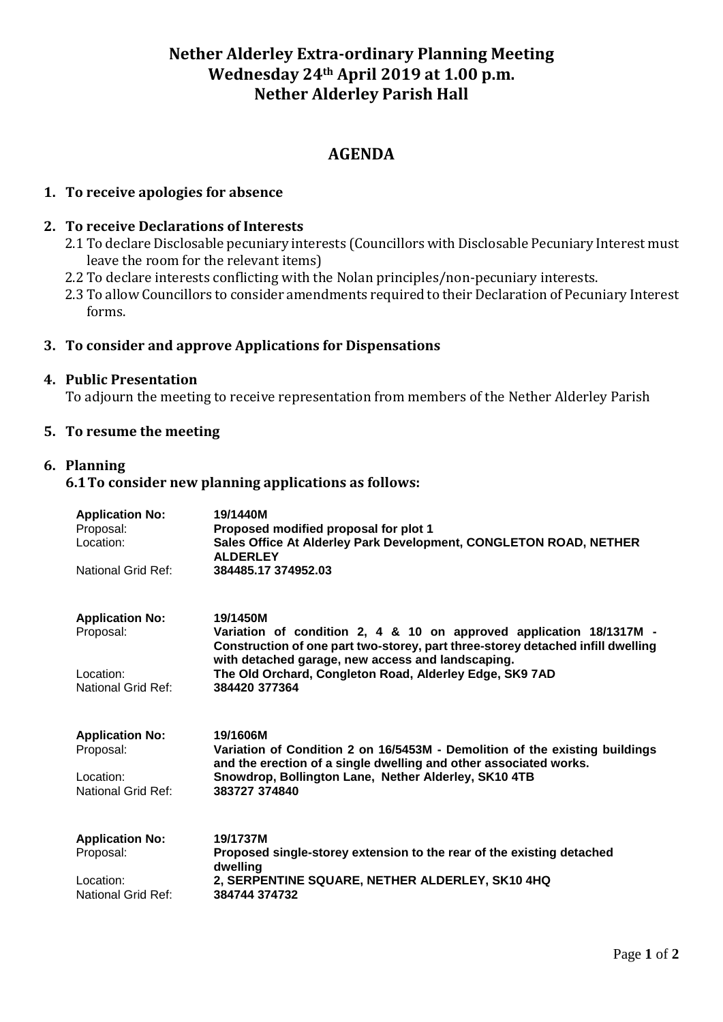# **Nether Alderley Extra-ordinary Planning Meeting Wednesday 24th April 2019 at 1.00 p.m. Nether Alderley Parish Hall**

# **AGENDA**

### **1. To receive apologies for absence**

### **2. To receive Declarations of Interests**

- 2.1 To declare Disclosable pecuniary interests (Councillors with Disclosable Pecuniary Interest must leave the room for the relevant items)
- 2.2 To declare interests conflicting with the Nolan principles/non-pecuniary interests.
- 2.3 To allow Councillors to consider amendments required to their Declaration of Pecuniary Interest forms.

#### **3. To consider and approve Applications for Dispensations**

### **4. Public Presentation**

To adjourn the meeting to receive representation from members of the Nether Alderley Parish

### **5. To resume the meeting**

### **6. Planning**

#### **6.1To consider new planning applications as follows:**

| <b>Application No:</b><br>Proposal:<br>Location: | 19/1440M<br>Proposed modified proposal for plot 1<br>Sales Office At Alderley Park Development, CONGLETON ROAD, NETHER<br><b>ALDERLEY</b>                                                                               |
|--------------------------------------------------|-------------------------------------------------------------------------------------------------------------------------------------------------------------------------------------------------------------------------|
| National Grid Ref:                               | 384485.17 374952.03                                                                                                                                                                                                     |
| <b>Application No:</b><br>Proposal:              | 19/1450M<br>Variation of condition 2, 4 & 10 on approved application 18/1317M -<br>Construction of one part two-storey, part three-storey detached infill dwelling<br>with detached garage, new access and landscaping. |
| Location:<br>National Grid Ref:                  | The Old Orchard, Congleton Road, Alderley Edge, SK9 7AD<br>384420 377364                                                                                                                                                |
| <b>Application No:</b><br>Proposal:              | 19/1606M<br>Variation of Condition 2 on 16/5453M - Demolition of the existing buildings<br>and the erection of a single dwelling and other associated works.                                                            |
| Location:<br>National Grid Ref:                  | Snowdrop, Bollington Lane, Nether Alderley, SK10 4TB<br>383727 374840                                                                                                                                                   |
| <b>Application No:</b><br>Proposal:              | 19/1737M<br>Proposed single-storey extension to the rear of the existing detached<br>dwelling                                                                                                                           |
| Location:<br>National Grid Ref:                  | 2, SERPENTINE SQUARE, NETHER ALDERLEY, SK10 4HQ<br>384744 374732                                                                                                                                                        |